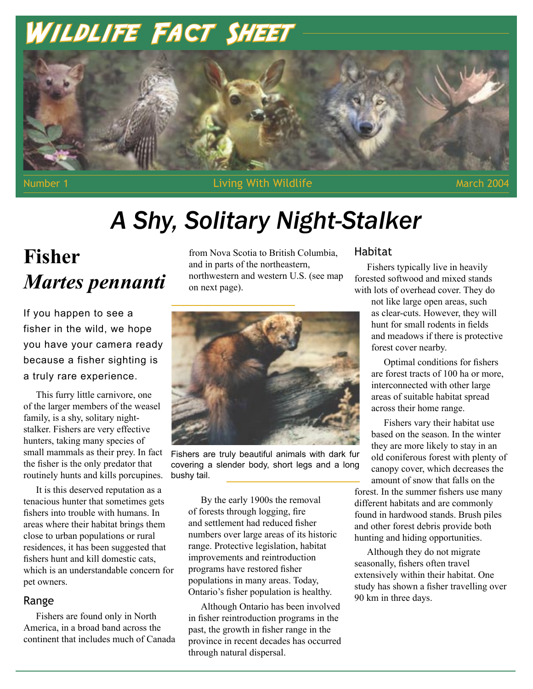# WILDLIFE FACT SHEET



Number 1 **Number 1** According With Wildlife March 2004 March 2004

# *A Shy, Solitary Night-Stalker*

# **Fisher** *Martes pennanti*

If you happen to see a fisher in the wild, we hope you have your camera ready because a fisher sighting is a truly rare experience.

This furry little carnivore, one of the larger members of the weasel family, is a shy, solitary nightstalker. Fishers are very effective hunters, taking many species of small mammals as their prey. In fact the fisher is the only predator that routinely hunts and kills porcupines.

It is this deserved reputation as a tenacious hunter that sometimes gets fishers into trouble with humans. In areas where their habitat brings them close to urban populations or rural residences, it has been suggested that fishers hunt and kill domestic cats, which is an understandable concern for pet owners.

# Range

Fishers are found only in North America, in a broad band across the continent that includes much of Canada from Nova Scotia to British Columbia, and in parts of the northeastern, northwestern and western U.S. (see map on next page).



Fishers are truly beautiful animals with dark fur covering a slender body, short legs and a long bushy tail.

By the early 1900s the removal of forests through logging, fire and settlement had reduced fisher numbers over large areas of its historic range. Protective legislation, habitat improvements and reintroduction programs have restored fisher populations in many areas. Today, Ontario's fisher population is healthy.

Although Ontario has been involved in fisher reintroduction programs in the past, the growth in fisher range in the province in recent decades has occurred through natural dispersal.

# Habitat

Fishers typically live in heavily forested softwood and mixed stands with lots of overhead cover. They do

> not like large open areas, such as clear-cuts. However, they will hunt for small rodents in fields and meadows if there is protective forest cover nearby.

> Optimal conditions for fishers are forest tracts of 100 ha or more, interconnected with other large areas of suitable habitat spread across their home range.

Fishers vary their habitat use based on the season. In the winter they are more likely to stay in an old coniferous forest with plenty of canopy cover, which decreases the amount of snow that falls on the forest. In the summer fishers use many different habitats and are commonly found in hardwood stands. Brush piles and other forest debris provide both hunting and hiding opportunities.

Although they do not migrate seasonally, fishers often travel extensively within their habitat. One study has shown a fisher travelling over 90 km in three days.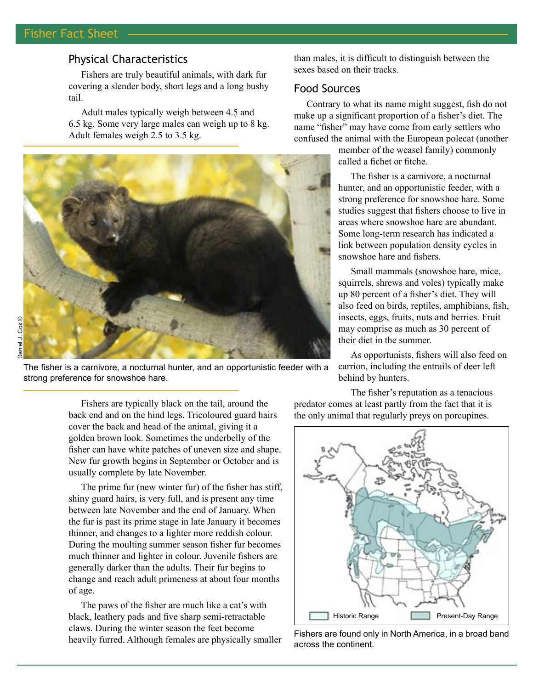# Fisher Fact Sheet <del>Living Wildlife Wildlife Wildlife Wildlife Wildlife Wildlife Wildlife Wildlife Wildlife Wildlife Wildlife Wildlife Wildlife Wildlife Wildlife Wildlife Wildlife Wildlife Wildlife Wildlife Wildlife Wildlif</del>

# Physical Characteristics

Fishers are truly beautiful animals, with dark fur covering a slender body, short legs and a long bushy tail.

Adult males typically weigh between 4.5 and 6.5 kg. Some very large males can weigh up to 8 kg. Adult females weigh 2.5 to 3.5 kg.



The fisher is a carnivore, a nocturnal hunter, and an opportunistic feeder with a strong preference for snowshoe hare.

than males, it is difficult to distinguish between the sexes based on their tracks.

# Food Sources

Contrary to what its name might suggest, fish do not make up a significant proportion of a fisher's diet. The name "fisher" may have come from early settlers who confused the animal with the European polecat (another

> member of the weasel family) commonly called a fichet or fitche.

The fisher is a carnivore, a nocturnal hunter, and an opportunistic feeder, with a strong preference for snowshoe hare. Some studies suggest that fishers choose to live in areas where snowshoe hare are abundant. Some long-term research has indicated a link between population density cycles in snowshoe hare and fishers.

Small mammals (snowshoe hare, mice, squirrels, shrews and voles) typically make up 80 percent of a fisher's diet. They will also feed on birds, reptiles, amphibians, fish, insects, eggs, fruits, nuts and berries. Fruit may comprise as much as 30 percent of their diet in the summer.

As opportunists, fishers will also feed on carrion, including the entrails of deer left behind by hunters.

Fishers are typically black on the tail, around the back end and on the hind legs. Tricoloured guard hairs cover the back and head of the animal, giving it a golden brown look. Sometimes the underbelly of the fisher can have white patches of uneven size and shape. New fur growth begins in September or October and is usually complete by late November.

The prime fur (new winter fur) of the fisher has stiff, shiny guard hairs, is very full, and is present any time between late November and the end of January. When the fur is past its prime stage in late January it becomes thinner, and changes to a lighter more reddish colour. During the moulting summer season fisher fur becomes much thinner and lighter in colour. Juvenile fishers are generally darker than the adults. Their fur begins to change and reach adult primeness at about four months of age.

The paws of the fisher are much like a cat's with black, leathery pads and five sharp semi-retractable claws. During the winter season the feet become heavily furred. Although females are physically smaller

The fisher's reputation as a tenacious predator comes at least partly from the fact that it is the only animal that regularly preys on porcupines.



Fishers are found only in North America, in a broad band across the continent.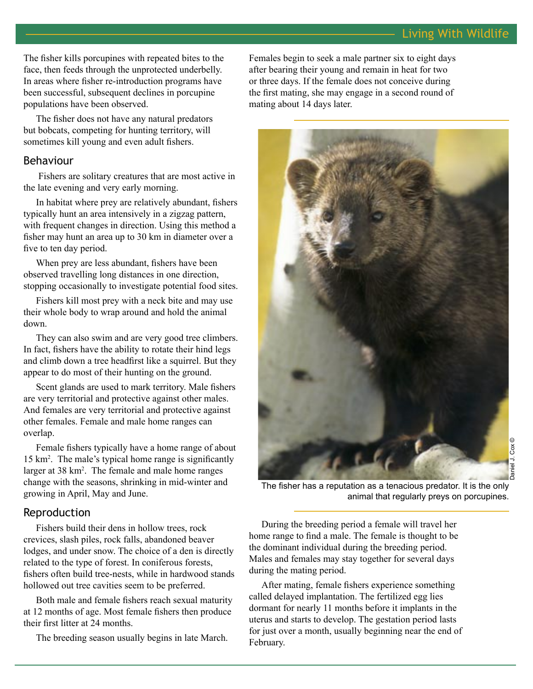The fisher kills porcupines with repeated bites to the face, then feeds through the unprotected underbelly. In areas where fisher re-introduction programs have been successful, subsequent declines in porcupine populations have been observed.

The fisher does not have any natural predators but bobcats, competing for hunting territory, will sometimes kill young and even adult fishers.

## Behaviour

 Fishers are solitary creatures that are most active in the late evening and very early morning.

In habitat where prey are relatively abundant, fishers typically hunt an area intensively in a zigzag pattern, with frequent changes in direction. Using this method a fisher may hunt an area up to 30 km in diameter over a five to ten day period.

When prey are less abundant, fishers have been observed travelling long distances in one direction, stopping occasionally to investigate potential food sites.

Fishers kill most prey with a neck bite and may use their whole body to wrap around and hold the animal down.

They can also swim and are very good tree climbers. In fact, fishers have the ability to rotate their hind legs and climb down a tree headfirst like a squirrel. But they appear to do most of their hunting on the ground.

Scent glands are used to mark territory. Male fishers are very territorial and protective against other males. And females are very territorial and protective against other females. Female and male home ranges can overlap.

Female fishers typically have a home range of about 15 km2 . The male's typical home range is significantly larger at 38 km<sup>2</sup>. The female and male home ranges change with the seasons, shrinking in mid-winter and growing in April, May and June.

# Reproduction

Fishers build their dens in hollow trees, rock crevices, slash piles, rock falls, abandoned beaver lodges, and under snow. The choice of a den is directly related to the type of forest. In coniferous forests, fishers often build tree-nests, while in hardwood stands hollowed out tree cavities seem to be preferred.

Both male and female fishers reach sexual maturity at 12 months of age. Most female fishers then produce their first litter at 24 months.

The breeding season usually begins in late March.

Females begin to seek a male partner six to eight days after bearing their young and remain in heat for two or three days. If the female does not conceive during the first mating, she may engage in a second round of mating about 14 days later.



The fisher has a reputation as a tenacious predator. It is the only animal that regularly preys on porcupines.

During the breeding period a female will travel her home range to find a male. The female is thought to be the dominant individual during the breeding period. Males and females may stay together for several days during the mating period.

After mating, female fishers experience something called delayed implantation. The fertilized egg lies dormant for nearly 11 months before it implants in the uterus and starts to develop. The gestation period lasts for just over a month, usually beginning near the end of February.